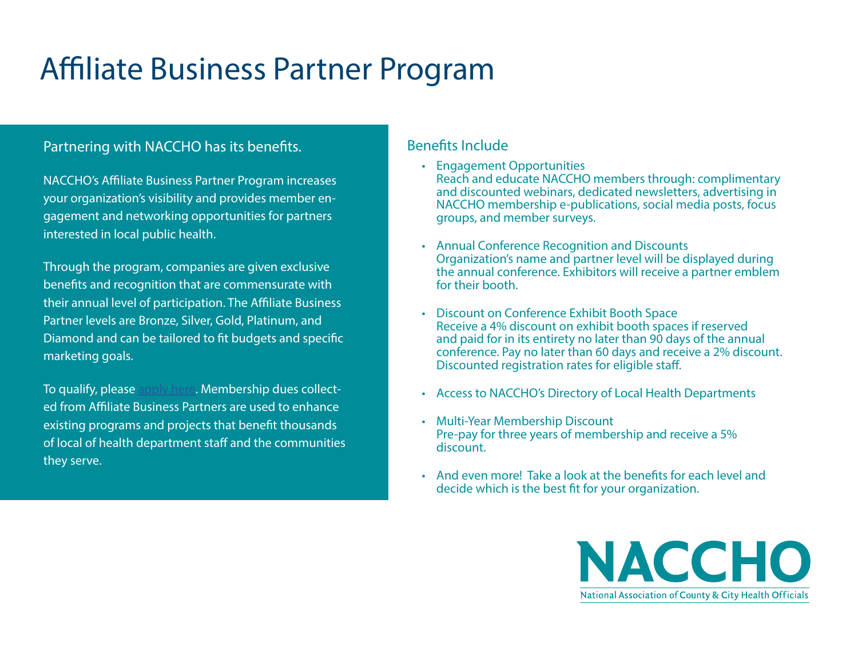### Affiliate Business Partner Program

#### Partnering with NACCHO has its benefits.

NACCHO's Affiliate Business Partner Program increases your organization's visibility and provides member engagement and networking opportunities for partners interested in local public health.

Through the program, companies are given exclusive benefits and recognition that are commensurate with their annual level of participation. The Affiliate Business Partner levels are Bronze, Silver, Gold, Platinum, and Diamond and can be tailored to fit budgets and specific marketing goals.

To qualify, please [apply here](https://www.naccho.org/uploads/downloadable-resources/Affiliate-Business-Partner-Application-Form-2021.pdf). Membership dues collected from Affiliate Business Partners are used to enhance existing programs and projects that benefit thousands of local of health department staff and the communities they serve.

#### Benefits Include

- Engagement Opportunities Reach and educate NACCHO members through: complimentary and discounted webinars, dedicated newsletters, advertising in NACCHO membership e-publications, social media posts, focus groups, and member surveys.
- Annual Conference Recognition and Discounts Organization's name and partner level will be displayed during the annual conference. Exhibitors will receive a partner emblem for their booth.
- Discount on Conference Exhibit Booth Space Receive a 4% discount on exhibit booth spaces if reserved and paid for in its entirety no later than 90 days of the annual conference. Pay no later than 60 days and receive a 2% discount. Discounted registration rates for eligible staff.
- Access to NACCHO's Directory of Local Health Departments
- Multi-Year Membership Discount Pre-pay for three years of membership and receive a 5% discount.
- And even more! Take a look at the benefits for each level and decide which is the best fit for your organization.

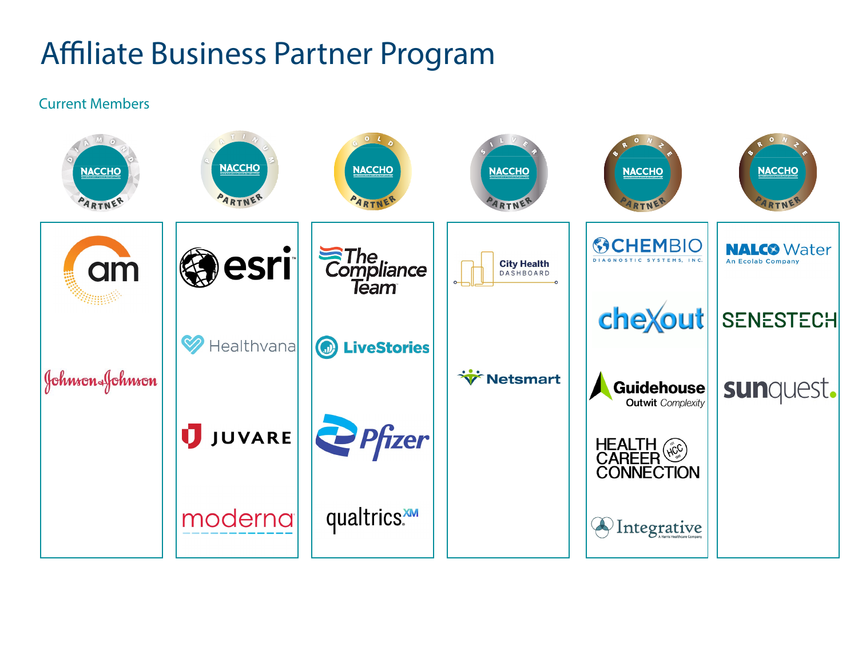### Affiliate Business Partner Program

#### Current Members

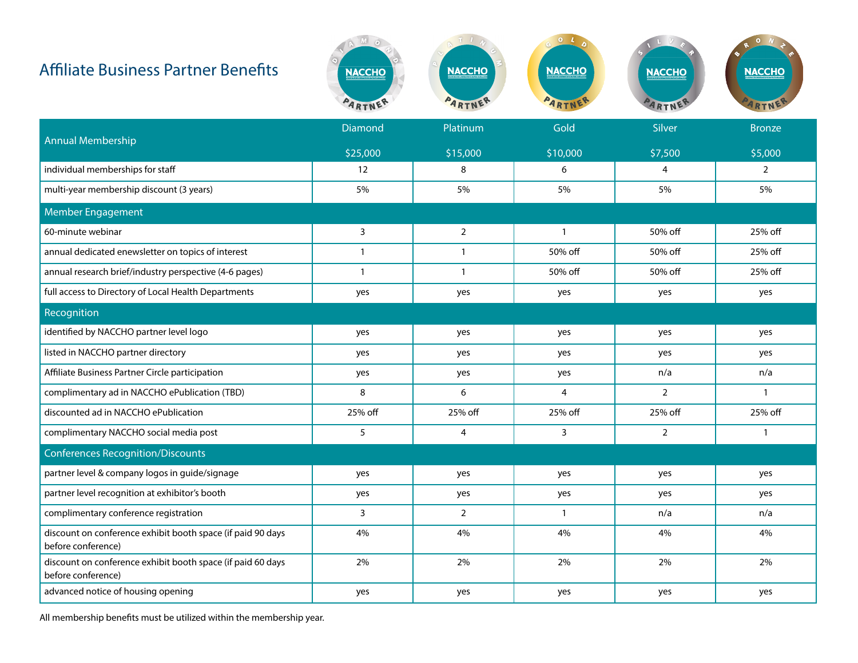#### **Affiliate Bus**

| Affiliate Business Partner Benefits                                               | $M$ 0<br><b>NACCHO</b><br>ARTNE | $T$ $l$<br><b>NACCHO</b><br>ARTNE | 0 <sub>l</sub><br><b>NACCHO</b><br>ARTN | <b>NACCHO</b><br>ARTN | $\bullet$<br><b>NACCHO</b> |
|-----------------------------------------------------------------------------------|---------------------------------|-----------------------------------|-----------------------------------------|-----------------------|----------------------------|
|                                                                                   | Diamond                         | Platinum                          | Gold                                    | Silver                | <b>Bronze</b>              |
| <b>Annual Membership</b>                                                          | \$25,000                        | \$15,000                          | \$10,000                                | \$7,500               | \$5,000                    |
| individual memberships for staff                                                  | 12                              | 8                                 | 6                                       | 4                     | $\overline{2}$             |
| multi-year membership discount (3 years)                                          | 5%                              | 5%                                | 5%                                      | 5%                    | 5%                         |
| <b>Member Engagement</b>                                                          |                                 |                                   |                                         |                       |                            |
| 60-minute webinar                                                                 | 3                               | $\overline{2}$                    | $\mathbf{1}$                            | 50% off               | 25% off                    |
| annual dedicated enewsletter on topics of interest                                | $\mathbf{1}$                    | $\mathbf{1}$                      | 50% off                                 | 50% off               | 25% off                    |
| annual research brief/industry perspective (4-6 pages)                            | $\mathbf{1}$                    | $\mathbf{1}$                      | 50% off                                 | 50% off               | 25% off                    |
| full access to Directory of Local Health Departments                              | yes                             | yes                               | yes                                     | yes                   | yes                        |
| Recognition                                                                       |                                 |                                   |                                         |                       |                            |
| identified by NACCHO partner level logo                                           | yes                             | yes                               | yes                                     | yes                   | yes                        |
| listed in NACCHO partner directory                                                | yes                             | yes                               | yes                                     | yes                   | yes                        |
| Affiliate Business Partner Circle participation                                   | yes                             | yes                               | yes                                     | n/a                   | n/a                        |
| complimentary ad in NACCHO ePublication (TBD)                                     | 8                               | 6                                 | $\overline{4}$                          | $\overline{2}$        | $\mathbf{1}$               |
| discounted ad in NACCHO ePublication                                              | 25% off                         | 25% off                           | 25% off                                 | 25% off               | 25% off                    |
| complimentary NACCHO social media post                                            | 5                               | $\overline{4}$                    | 3                                       | $\overline{2}$        | $\mathbf{1}$               |
| <b>Conferences Recognition/Discounts</b>                                          |                                 |                                   |                                         |                       |                            |
| partner level & company logos in guide/signage                                    | yes                             | yes                               | yes                                     | yes                   | yes                        |
| partner level recognition at exhibitor's booth                                    | yes                             | yes                               | yes                                     | yes                   | yes                        |
| complimentary conference registration                                             | 3                               | $\overline{2}$                    | $\mathbf{1}$                            | n/a                   | n/a                        |
| discount on conference exhibit booth space (if paid 90 days<br>before conference) | 4%                              | 4%                                | 4%                                      | 4%                    | 4%                         |
| discount on conference exhibit booth space (if paid 60 days<br>before conference) | 2%                              | 2%                                | 2%                                      | 2%                    | 2%                         |
| advanced notice of housing opening                                                | yes                             | yes                               | yes                                     | yes                   | yes                        |

All membership benefits must be utilized within the membership year.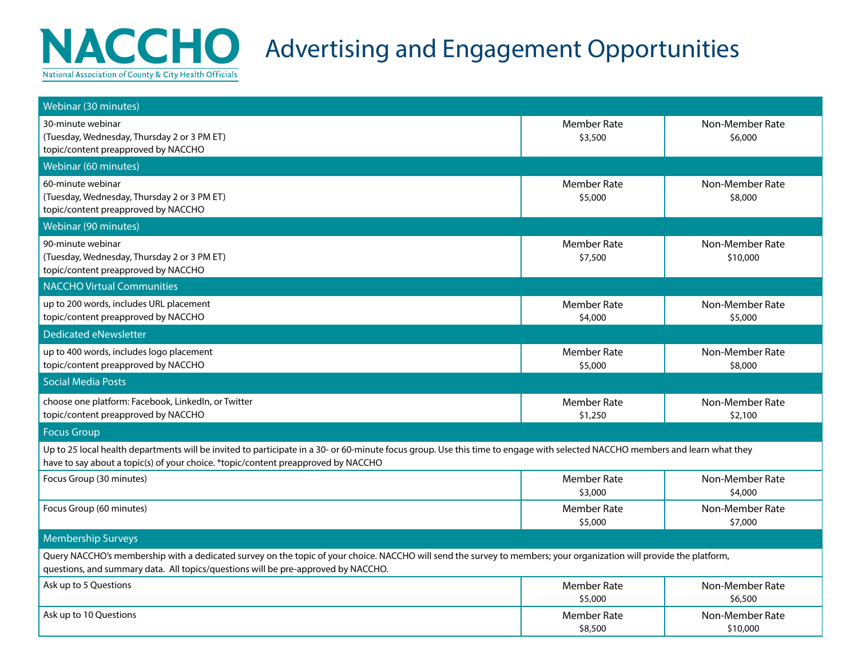# National Association of County & City Health Officials

## NACCHO Advertising and Engagement Opportunities

| Webinar (30 minutes)                                                                                                                                                                                                                                              |                               |                             |  |  |  |  |
|-------------------------------------------------------------------------------------------------------------------------------------------------------------------------------------------------------------------------------------------------------------------|-------------------------------|-----------------------------|--|--|--|--|
| 30-minute webinar<br>(Tuesday, Wednesday, Thursday 2 or 3 PM ET)<br>topic/content preapproved by NACCHO                                                                                                                                                           | Member Rate<br>\$3,500        | Non-Member Rate<br>\$6,000  |  |  |  |  |
| Webinar (60 minutes)                                                                                                                                                                                                                                              |                               |                             |  |  |  |  |
| 60-minute webinar<br>(Tuesday, Wednesday, Thursday 2 or 3 PM ET)<br>topic/content preapproved by NACCHO                                                                                                                                                           | Member Rate<br>\$5,000        | Non-Member Rate<br>\$8,000  |  |  |  |  |
| Webinar (90 minutes)                                                                                                                                                                                                                                              |                               |                             |  |  |  |  |
| 90-minute webinar<br>(Tuesday, Wednesday, Thursday 2 or 3 PM ET)<br>topic/content preapproved by NACCHO                                                                                                                                                           | Member Rate<br>\$7,500        | Non-Member Rate<br>\$10,000 |  |  |  |  |
| <b>NACCHO Virtual Communities</b>                                                                                                                                                                                                                                 |                               |                             |  |  |  |  |
| up to 200 words, includes URL placement<br>topic/content preapproved by NACCHO                                                                                                                                                                                    | <b>Member Rate</b><br>\$4,000 | Non-Member Rate<br>\$5,000  |  |  |  |  |
| <b>Dedicated eNewsletter</b>                                                                                                                                                                                                                                      |                               |                             |  |  |  |  |
| up to 400 words, includes logo placement<br>topic/content preapproved by NACCHO                                                                                                                                                                                   | Member Rate<br>\$5,000        | Non-Member Rate<br>\$8,000  |  |  |  |  |
| <b>Social Media Posts</b>                                                                                                                                                                                                                                         |                               |                             |  |  |  |  |
| choose one platform: Facebook, LinkedIn, or Twitter<br>topic/content preapproved by NACCHO                                                                                                                                                                        | Member Rate<br>\$1,250        | Non-Member Rate<br>\$2,100  |  |  |  |  |
| <b>Focus Group</b>                                                                                                                                                                                                                                                |                               |                             |  |  |  |  |
| Up to 25 local health departments will be invited to participate in a 30- or 60-minute focus group. Use this time to engage with selected NACCHO members and learn what they<br>have to say about a topic(s) of your choice. *topic/content preapproved by NACCHO |                               |                             |  |  |  |  |
| Focus Group (30 minutes)                                                                                                                                                                                                                                          | <b>Member Rate</b><br>\$3,000 | Non-Member Rate<br>\$4,000  |  |  |  |  |
| Focus Group (60 minutes)                                                                                                                                                                                                                                          | <b>Member Rate</b><br>\$5,000 | Non-Member Rate<br>\$7,000  |  |  |  |  |
| <b>Membership Surveys</b>                                                                                                                                                                                                                                         |                               |                             |  |  |  |  |
| Query NACCHO's membership with a dedicated survey on the topic of your choice. NACCHO will send the survey to members; your organization will provide the platform,<br>questions, and summary data. All topics/questions will be pre-approved by NACCHO.          |                               |                             |  |  |  |  |
| Ask up to 5 Questions                                                                                                                                                                                                                                             | <b>Member Rate</b><br>\$5,000 | Non-Member Rate<br>\$6,500  |  |  |  |  |
| Ask up to 10 Questions                                                                                                                                                                                                                                            | <b>Member Rate</b><br>\$8,500 | Non-Member Rate<br>\$10,000 |  |  |  |  |